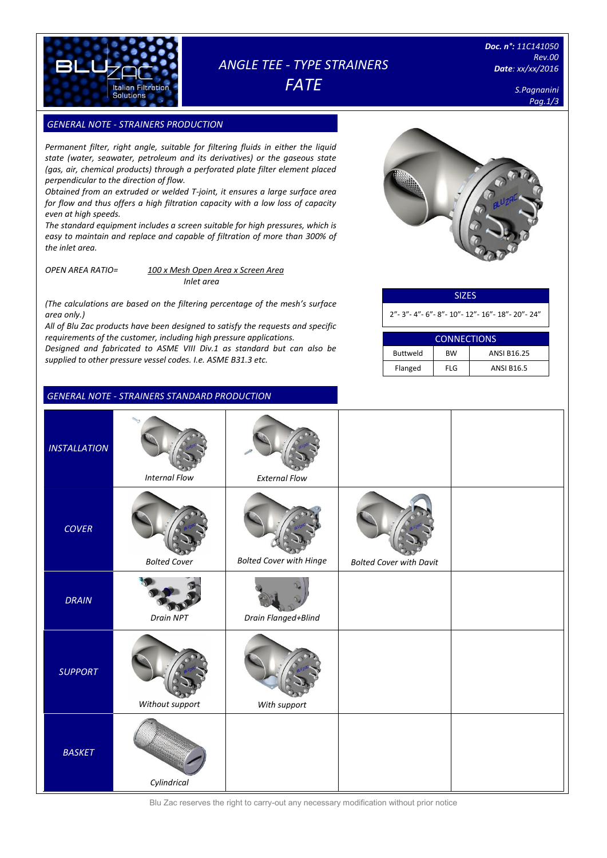

# *ANGLE TEE - TYPE STRAINERS*

*FATE*

*Doc. n°: 11C141050 Rev.00 Date: xx/xx/2016*

> *S.Pagnanini Pag.1/3*

### **GENERAL NOTE - STRAINERS PRODUCTION**

*Permanent filter, right angle, suitable for filtering fluids in either the liquid state (water, seawater, petroleum and its derivatives) or the gaseous state (gas, air, chemical products) through a perforated plate filter element placed perpendicular to the direction of flow.*

*Obtained from an extruded or welded T-joint, it ensures a large surface area for flow and thus offers a high filtration capacity with a low loss of capacity even at high speeds.* 

*The standard equipment includes a screen suitable for high pressures, which is easy to maintain and replace and capable of filtration of more than 300% of the inlet area.*

*OPEN AREA RATIO= 100 x Mesh Open Area x Screen Area Inlet area*

*(The calculations are based on the filtering percentage of the mesh's surface area only.)*

*All of Blu Zac products have been designed to satisfy the requests and specific requirements of the customer, including high pressure applications. Designed and fabricated to ASME VIII Div.1 as standard but can also be supplied to other pressure vessel codes. I.e. ASME B31.3 etc.*

### *GENERAL NOTE - STRAINERS STANDARD PRODUCTION*



| <b>SIZES</b>                                               |
|------------------------------------------------------------|
| 2" - 3" - 4" - 6" - 8" - 10" - 12" - 16" - 18" - 20" - 24" |

| <b>CONNECTIONS</b> |            |                    |  |  |  |  |  |
|--------------------|------------|--------------------|--|--|--|--|--|
| <b>Buttweld</b>    | <b>BW</b>  | <b>ANSI B16.25</b> |  |  |  |  |  |
| Flanged            | <b>FLG</b> | <b>ANSI B16.5</b>  |  |  |  |  |  |

| <b>INSTALLATION</b> | <b>Internal Flow</b> | <b>External Flow</b>           |                                |  |
|---------------------|----------------------|--------------------------------|--------------------------------|--|
| <b>COVER</b>        | <b>Bolted Cover</b>  | <b>Bolted Cover with Hinge</b> | <b>Bolted Cover with Davit</b> |  |
| <b>DRAIN</b>        | Drain NPT            | Drain Flanged+Blind            |                                |  |
| <b>SUPPORT</b>      | Without support      | With support                   |                                |  |
| <b>BASKET</b>       | Cylindrical          |                                |                                |  |

Blu Zac reserves the right to carry-out any necessary modification without prior notice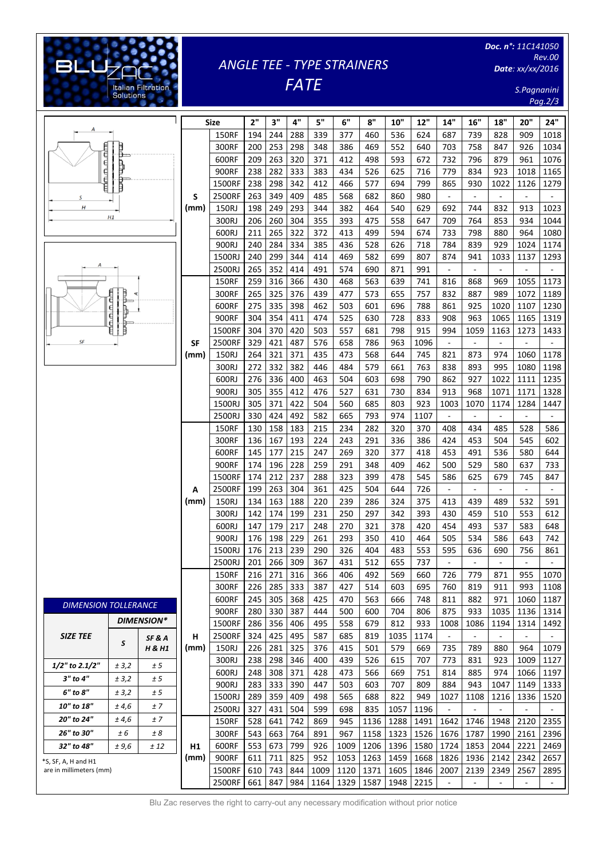## *ANGLE TEE - TYPE STRAINERS FATE*

[Digitare il testo]

**Italian Filtratio**<br>Solutions

*Doc. n°: 11C141050 Rev.00 Date: xx/xx/2016*

> *S.Pagnanini Pag.2/3*

|                             |             |                   |      |                 |            |            |            |            |            |            |            |            |                          |                          |                          |                              | ruy.z/ə                  |
|-----------------------------|-------------|-------------------|------|-----------------|------------|------------|------------|------------|------------|------------|------------|------------|--------------------------|--------------------------|--------------------------|------------------------------|--------------------------|
|                             |             |                   |      | <b>Size</b>     | 2"         | 3"         | 4"         | 5"         | 6"         | 8"         | 10"        | 12"        | 14"                      | 16"                      | 18"                      | 20"                          | 24"                      |
|                             |             |                   |      | <b>150RF</b>    | 194        | 244        | 288        | 339        | 377        | 460        | 536        | 624        | 687                      | 739                      | 828                      | 909                          | 1018                     |
|                             |             |                   |      |                 |            |            |            |            |            | 469        |            |            |                          |                          |                          |                              |                          |
|                             |             |                   |      | 300RF           | 200        | 253        | 298        | 348        | 386        |            | 552        | 640        | 703                      | 758                      | 847                      | 926                          | 1034                     |
|                             | ₿           |                   |      | 600RF           | 209        | 263        | 320        | 371        | 412        | 498        | 593        | 672        | 732                      | 796                      | 879                      | 961                          | 1076                     |
| 后后后                         |             |                   |      | 900RF           | 238        | 282        | 333        | 383        | 434        | 526        | 625        | 716        | 779                      | 834                      | 923                      | 1018                         | 1165                     |
|                             |             |                   |      | 1500RF          | 238        | 298        | 342        | 412        | 466        | 577        | 694        | 799        | 865                      | 930                      | 1022                     | 1126                         | 1279                     |
| S                           |             |                   | S    | 2500RF          | 263        | 349        | 409        | 485        | 568        | 682        | 860        | 980        | $\overline{\phantom{a}}$ | $\overline{\phantom{a}}$ | $\overline{\phantom{a}}$ | $\overline{\phantom{a}}$     | $\overline{\phantom{a}}$ |
| H                           | H1          |                   | (mm) | 150RJ           | 198        | 249        | 293        | 344        | 382        | 464        | 540        | 629        | 692                      | 744                      | 832                      | 913                          | 1023                     |
|                             |             |                   |      | 300RJ           | 206        | 260        | 304        | 355        | 393        | 475        | 558        | 647        | 709                      | 764                      | 853                      | 934                          | 1044                     |
|                             |             |                   |      | 600RJ           | 211        | 265        | 322        | 372        | 413        | 499        | 594        | 674        | 733                      | 798                      | 880                      | 964                          | 1080                     |
|                             |             |                   |      | 900RJ           | 240        | 284        | 334        | 385        | 436        | 528        | 626        | 718        | 784                      | 839                      | 929                      | 1024                         | 1174                     |
| Α                           |             |                   |      | 1500RJ          | 240        | 299        | 344        | 414        | 469        | 582        | 699        | 807        | 874                      | 941                      | 1033                     | 1137                         | 1293                     |
|                             |             |                   |      | 2500RJ          | 265        | 352        | 414        | 491        | 574        | 690        | 871        | 991        | $\overline{\phantom{a}}$ | $\overline{\phantom{a}}$ | $\overline{\phantom{a}}$ | $\qquad \qquad \blacksquare$ |                          |
|                             |             |                   |      | <b>150RF</b>    | 259        | 316        | 366        | 430        | 468        | 563        | 639        | 741        | 816                      | 868                      | 969                      | 1055                         | 1173                     |
|                             | min nin nim |                   |      | 300RF           | 265        | 325        | 376        | 439        | 477        | 573        | 655        | 757        | 832                      | 887                      | 989                      | 1072                         | 1189                     |
|                             |             |                   |      | 600RF           | 275        | 335        | 398        | 462        | 503        | 601        | 696        | 788        | 861                      | 925                      | 1020                     | 1107                         | 1230                     |
|                             |             |                   |      | 900RF           | 304        | 354        | 411        | 474        | 525        | 630        | 728        | 833        | 908                      | 963                      | 1065                     | 1165                         | 1319                     |
|                             |             |                   |      | 1500RF          | 304        | 370        | 420        | 503        | 557        | 681        | 798        | 915        | 994                      | 1059                     | 1163                     | 1273                         | 1433                     |
| SF                          |             |                   | SF   | 2500RF          | 329        | 421        | 487        | 576        | 658        | 786        | 963        | 1096       | $\Box$                   | $\blacksquare$           | $\Box$                   | $\blacksquare$               | $\overline{\phantom{a}}$ |
|                             |             |                   | (mm) | 150RJ           | 264        | 321        | 371        | 435        | 473        | 568        | 644        | 745        | 821                      | 873                      | 974                      | 1060                         | 1178                     |
|                             |             |                   |      | 300RJ           | 272        | 332        | 382        | 446        | 484        | 579        | 661        | 763        | 838                      | 893                      | 995                      | 1080                         | 1198                     |
|                             |             |                   |      | 600RJ           | 276        | 336        | 400        | 463        | 504        | 603        | 698        | 790        | 862                      | 927                      | 1022                     | 1111                         | 1235                     |
|                             |             |                   |      | 900RJ           | 305        | 355        | 412        | 476        | 527        | 631        | 730        | 834        | 913                      | 968                      | 1071                     | 1171                         | 1328                     |
|                             |             |                   |      | 1500RJ          | 305        | 371        | 422        | 504        | 560        | 685        | 803        | 923        | 1003                     | 1070                     | 1174                     | 1284                         | 1447                     |
|                             |             |                   |      | 2500RJ          | 330        | 424        | 492        | 582        | 665        | 793        | 974        | 1107       | $\Box$                   | $\blacksquare$           | $\blacksquare$           | $\overline{\phantom{a}}$     | $\overline{\phantom{a}}$ |
|                             |             |                   |      | <b>150RF</b>    | 130        | 158        | 183        | 215        | 234        | 282        | 320        | 370        | 408                      | 434                      | 485                      | 528                          | 586                      |
|                             |             |                   |      | 300RF           | 136        | 167        | 193        | 224        | 243        | 291        | 336        | 386        | 424                      | 453                      | 504                      | 545                          | 602                      |
|                             |             |                   |      | 600RF           | 145        | 177        | 215        | 247        | 269        | 320        | 377        | 418        | 453                      | 491                      | 536                      | 580                          | 644                      |
|                             |             |                   |      | 900RF           | 174        | 196        | 228        | 259        | 291        | 348        | 409        | 462        | 500                      | 529                      | 580                      | 637                          | 733                      |
|                             |             |                   |      | 1500RF          | 174        | 212        | 237        | 288        | 323        | 399        | 478        | 545        | 586                      | 625                      | 679                      | 745                          | 847                      |
|                             |             |                   | А    | 2500RF          | 199        | 263        | 304        | 361        | 425        | 504        | 644        | 726        | $\blacksquare$           | $\overline{\phantom{a}}$ | $\overline{\phantom{a}}$ | $\overline{\phantom{a}}$     | $\equiv$                 |
|                             |             |                   | (mm) | 150RJ           | 134        | 163        | 188        | 220        | 239        | 286        | 324        | 375        | 413                      | 439                      | 489                      | 532                          | 591                      |
|                             |             |                   |      | 300RJ           | 142        | 174        | 199        | 231        | 250        | 297        | 342        | 393        | 430                      | 459                      | 510                      | 553                          | 612                      |
|                             |             |                   |      | 600RJ           | 147        | 179        | 217        | 248        | 270        | 321        | 378        | 420        | 454                      | 493                      | 537                      | 583                          | 648                      |
|                             |             |                   |      | 900RJ           | 176        | 198        | 229        | 261        | 293        | 350        | 410        | 464        | 505                      | 534                      | 586                      | 643                          | 742                      |
|                             |             |                   |      | 1500RJ          | 176        | 213        | 239        | 290        | 326        | 404        | 483        | 553        | 595                      | 636                      | 690                      | 756                          | 861                      |
|                             |             |                   |      | 2500RJ          | 201        | 266        | 309        | 367        | 431        | 512        | 655        | 737        | $\overline{\phantom{a}}$ | $\overline{\phantom{a}}$ | $\overline{\phantom{a}}$ | $\overline{\phantom{a}}$     | $\overline{\phantom{a}}$ |
|                             |             |                   |      | <b>150RF</b>    | 216        | 271        | 316        | 366        | 406        | 492        | 569        | 660        | 726                      | 779                      | 871                      | 955                          | 1070                     |
|                             |             |                   |      | 300RF           | 226        | 285        | 333        | 387        | 427        | 514        | 603        | 695        | 760                      | 819                      | 911                      | 993                          | 1108                     |
|                             |             |                   |      | 600RF           | 245        | 305        | 368        | 425        | 470        | 563        | 666        | 748        | 811                      | 882                      | 971                      | 1060                         | 1187                     |
| <b>DIMENSION TOLLERANCE</b> |             |                   |      | 900RF           | 280        | 330        | 387        | 444        | 500        | 600        | 704        | 806        | 875                      | 933                      | 1035                     | 1136                         | 1314                     |
|                             |             | <b>DIMENSION*</b> |      | 1500RF          | 286        | 356        | 406        | 495        | 558        | 679        | 812        | 933        | 1008                     | 1086                     | 1194                     | 1314                         | 1492                     |
| <b>SIZE TEE</b>             |             |                   | н    | 2500RF          | 324        | 425        | 495        | 587        | 685        | 819        | 1035       | 1174       | $\overline{\phantom{a}}$ | $\overline{\phantom{a}}$ | $\overline{\phantom{a}}$ | $\overline{\phantom{a}}$     | ۰.                       |
|                             | S           | SF&A<br>H & H1    | (mm) | 150RJ           | 226        | 281        | 325        | 376        | 415        | 501        | 579        | 669        | 735                      | 789                      | 880                      | 964                          | 1079                     |
|                             |             |                   |      | 300RJ           | 238        | 298        | 346        | 400        | 439        | 526        | 615        | 707        | 773                      | 831                      | 923                      | 1009                         | 1127                     |
| 1/2" to 2.1/2"              | ± 3,2       | ± 5               |      | 600RJ           | 248        | 308        | 371        | 428        | 473        | 566        | 669        | 751        | 814                      | 885                      | 974                      | 1066                         | 1197                     |
| 3" to 4"                    | ± 3,2       | ± 5               |      |                 |            |            |            |            |            |            |            |            |                          |                          |                          | 1149                         |                          |
| 6" to 8"                    | ± 3,2       | ± 5               |      | 900RJ<br>1500RJ | 283<br>289 | 333<br>359 | 390<br>409 | 447<br>498 | 503<br>565 | 603<br>688 | 707<br>822 | 809<br>949 | 884<br>1027              | 943<br>1108              | 1047<br>1216             | 1336                         | 1333                     |
| 10" to 18"                  | ± 4,6       | ±7                |      |                 | 327        |            |            |            |            |            |            |            |                          |                          |                          |                              | 1520                     |
| 20" to 24"                  | ± 4,6       | ±7                |      | 2500RJ          |            | 431        | 504        | 599        | 698        | 835        | 1057       | 1196       | $\Box$                   | $\blacksquare$           | $\overline{\phantom{a}}$ | $\overline{\phantom{a}}$     | $\overline{\phantom{a}}$ |
| 26" to 30"                  |             |                   |      | <b>150RF</b>    | 528        | 641        | 742        | 869        | 945        | 1136       | 1288       | 1491       | 1642                     | 1746                     | 1948                     | 2120                         | 2355                     |
|                             | ± 6         | ± 8               |      | 300RF           | 543        | 663        | 764        | 891        | 967        | 1158       | 1323       | 1526       | 1676                     | 1787                     | 1990                     | 2161                         | 2396                     |
| 32" to 48"<br>± 9,6<br>± 12 |             |                   | Н1   | 600RF           | 553        | 673        | 799        | 926        | 1009       | 1206       | 1396       | 1580       | 1724                     | 1853                     | 2044                     | 2221                         | 2469                     |
| *S, SF, A, H and H1         |             |                   | (mm) | 900RF           | 611        | 711        | 825        | 952        | 1053       | 1263       | 1459       | 1668       | 1826                     | 1936                     | 2142                     | 2342                         | 2657                     |
| are in millimeters (mm)     |             |                   |      | 1500RF          | 610        | 743        | 844        | 1009       | 1120       | 1371       | 1605       | 1846       | 2007                     | 2139                     | 2349                     | 2567                         | 2895                     |
|                             |             |                   |      | 2500RF          | 661        | 847        | 984        | 1164       | 1329       | 1587       | 1948       | 2215       | $\Box$                   | $\Box$                   | $\blacksquare$           | $\blacksquare$               | $\sim$                   |

Blu Zac reserves the right to carry-out any necessary modification without prior notice